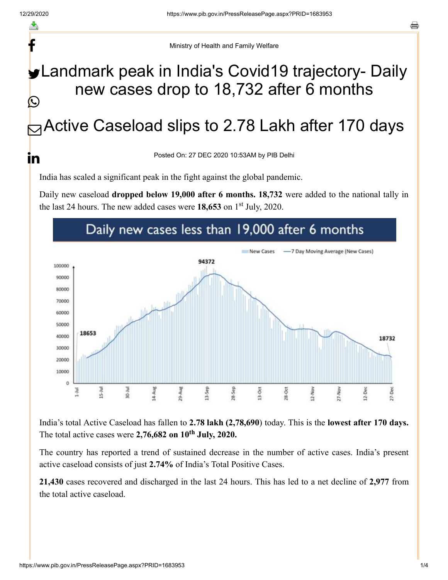f

<u>in</u>

Ministry of Health and Family Welfare

## Landmark peak in India's Covid19 trajectory- Daily new cases drop to 18,732 after 6 months Ŀ

## **B** Active Caseload slips to 2.78 Lakh after 170 days

Posted On: 27 DEC 2020 10:53AM by PIB Delhi

India has scaled a significant peak in the fight against the global pandemic.

Daily new caseload **dropped below 19,000 after 6 months. 18,732** were added to the national tally in the last 24 hours. The new added cases were  $18,653$  on  $1<sup>st</sup>$  July, 2020.



India's total Active Caseload has fallen to **2.78 lakh (2,78,690**) today. This is the **lowest after 170 days.** The total active cases were  $2,76,682$  on  $10<sup>th</sup>$  July,  $2020$ .

The country has reported a trend of sustained decrease in the number of active cases. India's present active caseload consists of just **2.74%** of India's Total Positive Cases.

**21,430** cases recovered and discharged in the last 24 hours. This has led to a net decline of **2,977** from the total active caseload.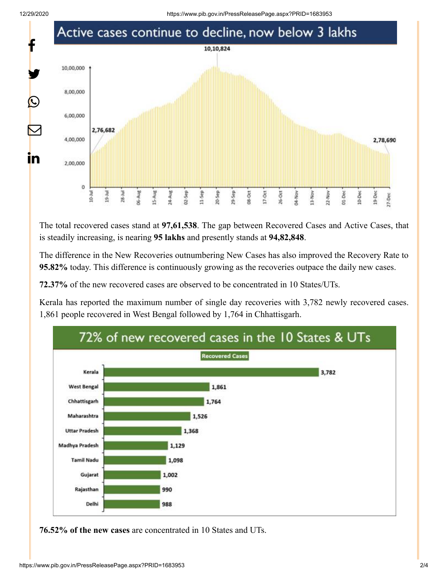

The total recovered cases stand at **97,61,538**. The gap between Recovered Cases and Active Cases, that is steadily increasing, is nearing **95 lakhs** and presently stands at **94,82,848**.

The difference in the New Recoveries outnumbering New Cases has also improved the Recovery Rate to **95.82%** today. This difference is continuously growing as the recoveries outpace the daily new cases.

**72.37%** of the new recovered cases are observed to be concentrated in 10 States/UTs.

Kerala has reported the maximum number of single day recoveries with 3,782 newly recovered cases. 1,861 people recovered in West Bengal followed by 1,764 in Chhattisgarh.



**76.52% of the new cases** are concentrated in 10 States and UTs.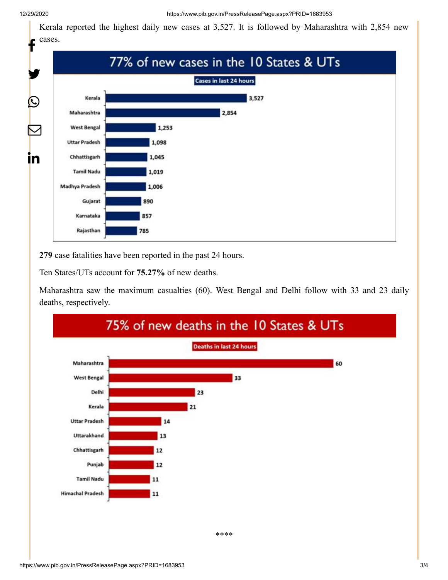Kerala reported the highest daily new cases at 3,527. It is followed by Maharashtra with 2,854 new cases.



**279** case fatalities have been reported in the past 24 hours.

Ten States/UTs account for **75.27%** of new deaths.

Maharashtra saw the maximum casualties (60). West Bengal and Delhi follow with 33 and 23 daily deaths, respectively.